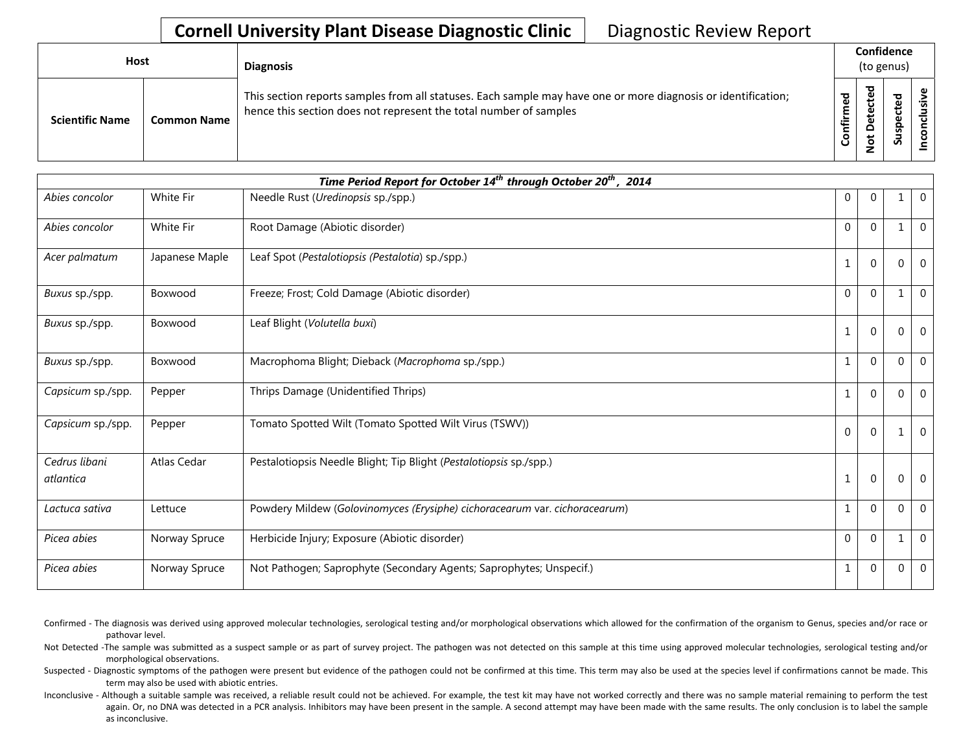## **Cornell University Plant Disease Diagnostic Clinic** | Diagnostic Review Report

| Host                   |                    | <b>Diagnosis</b>                                                                                                                                                                   | Confidence<br>(to genus) |                       |                     |        |
|------------------------|--------------------|------------------------------------------------------------------------------------------------------------------------------------------------------------------------------------|--------------------------|-----------------------|---------------------|--------|
| <b>Scientific Name</b> | <b>Common Name</b> | This section reports samples from all statuses. Each sample may have one or more diagnosis or identification;<br>hence this section does not represent the total number of samples | ਠ<br>ε<br>onfir          | ᅙ<br>Φ<br>⊷<br>پ<br>ۊ | ᅙ<br>-<br>ဒ္ဓ<br>ഄഁ | ω<br>S |

| Time Period Report for October 14 <sup>th</sup> through October 20 <sup>th</sup> , 2014 |                |                                                                            |              |              |          |                  |  |  |
|-----------------------------------------------------------------------------------------|----------------|----------------------------------------------------------------------------|--------------|--------------|----------|------------------|--|--|
| Abies concolor                                                                          | White Fir      | Needle Rust ( <i>Uredinopsis</i> sp./spp.)                                 | 0            | $\Omega$     |          | $\mathbf 0$      |  |  |
| Abies concolor                                                                          | White Fir      | Root Damage (Abiotic disorder)                                             | $\Omega$     | $\Omega$     |          | $\overline{0}$   |  |  |
| Acer palmatum                                                                           | Japanese Maple | Leaf Spot (Pestalotiopsis (Pestalotia) sp./spp.)                           | $\mathbf{1}$ | $\Omega$     |          | $\mathbf 0$      |  |  |
| Buxus sp./spp.                                                                          | Boxwood        | Freeze; Frost; Cold Damage (Abiotic disorder)                              | $\Omega$     | $\Omega$     |          | $\mathbf 0$      |  |  |
| Buxus sp./spp.                                                                          | Boxwood        | Leaf Blight (Volutella buxi)                                               | $\mathbf{1}$ | $\Omega$     |          | $\mathbf 0$      |  |  |
| Buxus sp./spp.                                                                          | Boxwood        | Macrophoma Blight; Dieback (Macrophoma sp./spp.)                           | $\mathbf{1}$ | $\Omega$     | $\Omega$ | $\overline{0}$   |  |  |
| Capsicum sp./spp.                                                                       | Pepper         | Thrips Damage (Unidentified Thrips)                                        | $\mathbf{1}$ | $\Omega$     | O        | $\mathbf{0}$     |  |  |
| Capsicum sp./spp.                                                                       | Pepper         | Tomato Spotted Wilt (Tomato Spotted Wilt Virus (TSWV))                     | $\Omega$     | $\Omega$     |          | $\mathbf 0$      |  |  |
| Cedrus libani<br>atlantica                                                              | Atlas Cedar    | Pestalotiopsis Needle Blight; Tip Blight (Pestalotiopsis sp./spp.)         | $\mathbf{1}$ | $\mathbf{0}$ | $\Omega$ | $\boldsymbol{0}$ |  |  |
| Lactuca sativa                                                                          | Lettuce        | Powdery Mildew (Golovinomyces (Erysiphe) cichoracearum var. cichoracearum) | $\mathbf{1}$ | $\Omega$     |          | $\mathbf 0$      |  |  |
| Picea abies                                                                             | Norway Spruce  | Herbicide Injury; Exposure (Abiotic disorder)                              | $\Omega$     | $\Omega$     |          | $\mathbf 0$      |  |  |
| Picea abies                                                                             | Norway Spruce  | Not Pathogen; Saprophyte (Secondary Agents; Saprophytes; Unspecif.)        | 1            | $\Omega$     | 0        | $\mathbf 0$      |  |  |

Confirmed - The diagnosis was derived using approved molecular technologies, serological testing and/or morphological observations which allowed for the confirmation of the organism to Genus, species and/or race or pathovar level.

Not Detected -The sample was submitted as a suspect sample or as part of survey project. The pathogen was not detected on this sample at this time using approved molecular technologies, serological testing and/or morphological observations.

Suspected - Diagnostic symptoms of the pathogen were present but evidence of the pathogen could not be confirmed at this time. This term may also be used at the species level if confirmations cannot be made. This term may also be used with abiotic entries.

Inconclusive - Although a suitable sample was received, a reliable result could not be achieved. For example, the test kit may have not worked correctly and there was no sample material remaining to perform the test again. Or, no DNA was detected in a PCR analysis. Inhibitors may have been present in the sample. A second attempt may have been made with the same results. The only conclusion is to label the sample as inconclusive.